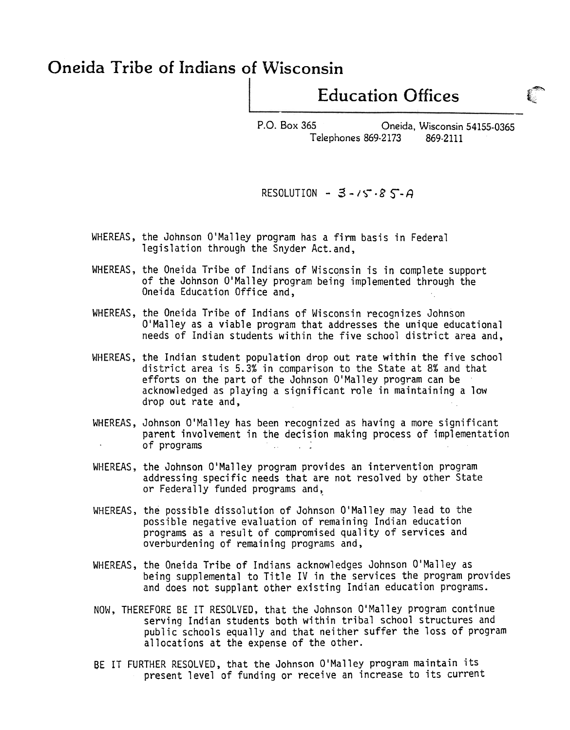## Oneida Tribe of Indians of Wisconsin

## Education Offices

~

i;:~

P.O. Box 365 Oneida, Wisconsin 54155-0365 Telephones 869-2173 869-2111

## RESOLUTION -  $3 - 15.85 - A$

- WHEREAS, the Johnson O'Malley program has a firm basis in Federal legislation through the Snyder Act.and,
- WHEREAS, the Oneida Tribe of Indians of Wisconsin is in complete support of the Johnson O'Malley program being implemented through the Oneida Education Office and,
- WHEREAS, the Oneida Tribe of Indians of Wisconsin recognizes Johnson O'Malley as a viable program that addresses the unique educational needs of Indian students within the five school district area and,
- WHEREAS, the Indian student population drop out rate within the five school district area is 5.3% in comparison to the State at 8% and that efforts on the part of the Johnson O'Malley program can be acknowledged as playing a significant role in maintaining a low drop out rate and,
- WHEREAS, Johnson O'Malley has been recognized as having a more significant parent involvement in the decision making process of implementation of programs .-
- WHEREAS, the Johnson O'Malley program provides an intervention program addressing specific needs that are not resolved by other State or Federally funded programs and,.
- WHEREAS, the possible dissolution of Johnson O'Malley may lead to the possible negative evaluation of remaining Indian education programs as a result of compromised quality of services and overburdening of remaining programs and,
- WHEREAS, the Oneida Tribe of Indians acknowledges Johnson O'Malley as being supplemental to Title IV in the services the program provides and does not supplant other existing Indian education programs.
- NOW, THEREFORE BE IT RESOLVED, that the Johnson O'Malley program continue serving Indian students both within tribal school structures and public schools equally and that neither suffer the loss of program allocations at the expense of the other.
- BE IT FURTHER RESOLVED, that the Johnson O'Malley program maintain its present level of funding or receive an increase to its current